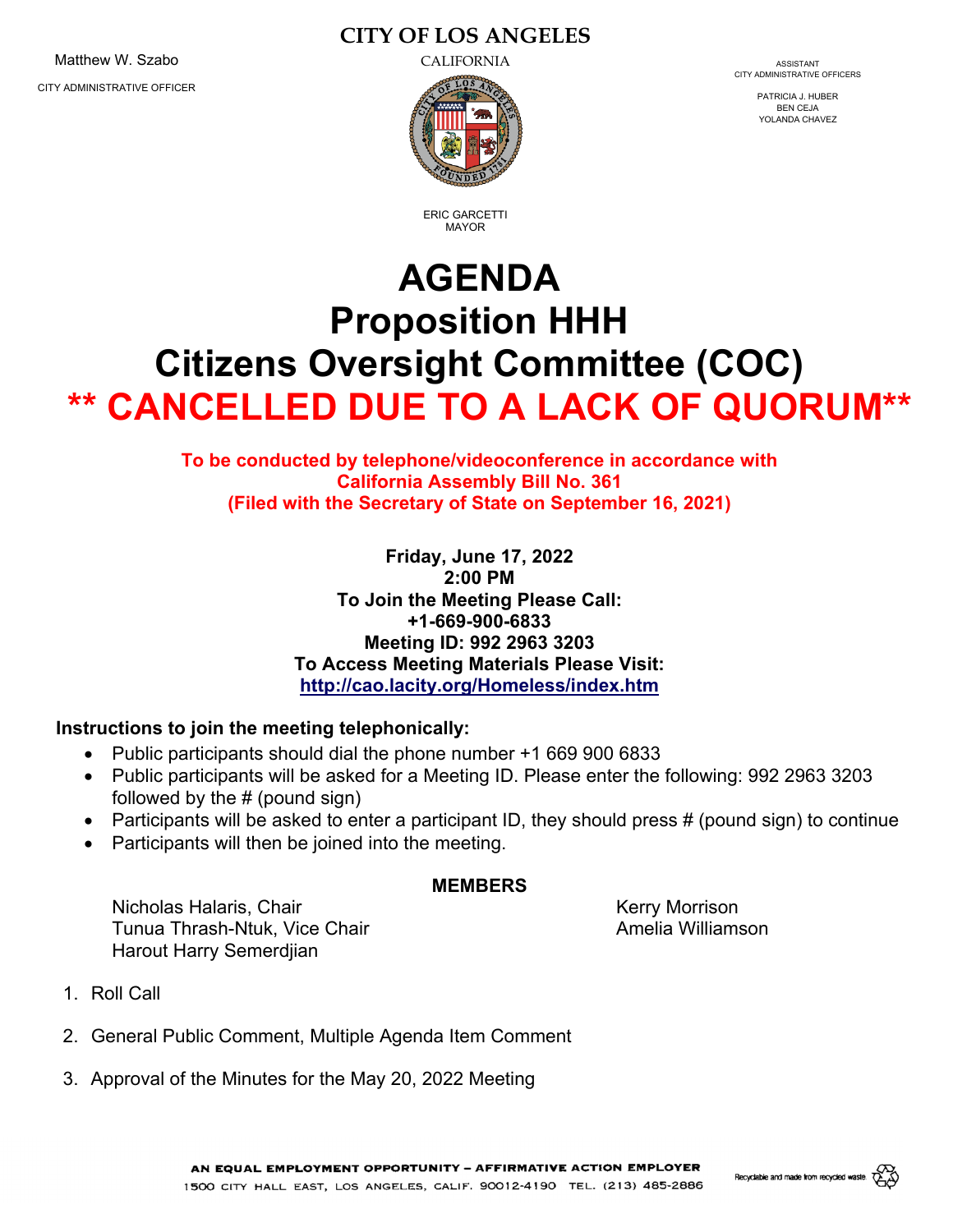Matthew W. Szabo **CALIFORNIA** CALIFORNIA CITY ADMINISTRATIVE OFFICER

# **CITY OF LOS ANGELES**



CITY ADMINISTRATIVE OFFICERS

PATRICIA J. HUBER BEN CEJA YOLANDA CHAVEZ

ERIC GARCETTI MAYOR

# **AGENDA Proposition HHH Citizens Oversight Committee (COC) \*\* CANCELLED DUE TO A LACK OF QUORUM\*\***

# **To be conducted by telephone/videoconference in accordance with California Assembly Bill No. 361 (Filed with the Secretary of State on September 16, 2021)**

**Friday, June 17, 2022 2:00 PM To Join the Meeting Please Call: +1-669-900-6833 Meeting ID: 992 2963 3203 To Access Meeting Materials Please Visit: http://cao.lacity.org/Homeless/index.htm** 

# **Instructions to join the meeting telephonically:**

- Public participants should dial the phone number +1 669 900 6833
- Public participants will be asked for a Meeting ID. Please enter the following: 992 2963 3203 followed by the # (pound sign)
- Participants will be asked to enter a participant ID, they should press  $\#$  (pound sign) to continue
- Participants will then be joined into the meeting.

#### **MEMBERS**

Nicholas Halaris, Chair Nicholas Halaris, Chair Nicholas Halaris, Chair Nicholas Halaris, Chair Nicholas Halar Tunua Thrash-Ntuk, Vice Chair **Amelia Williamson** Harout Harry Semerdjian

- 1. Roll Call
- 2. General Public Comment, Multiple Agenda Item Comment
- 3. Approval of the Minutes for the May 20, 2022 Meeting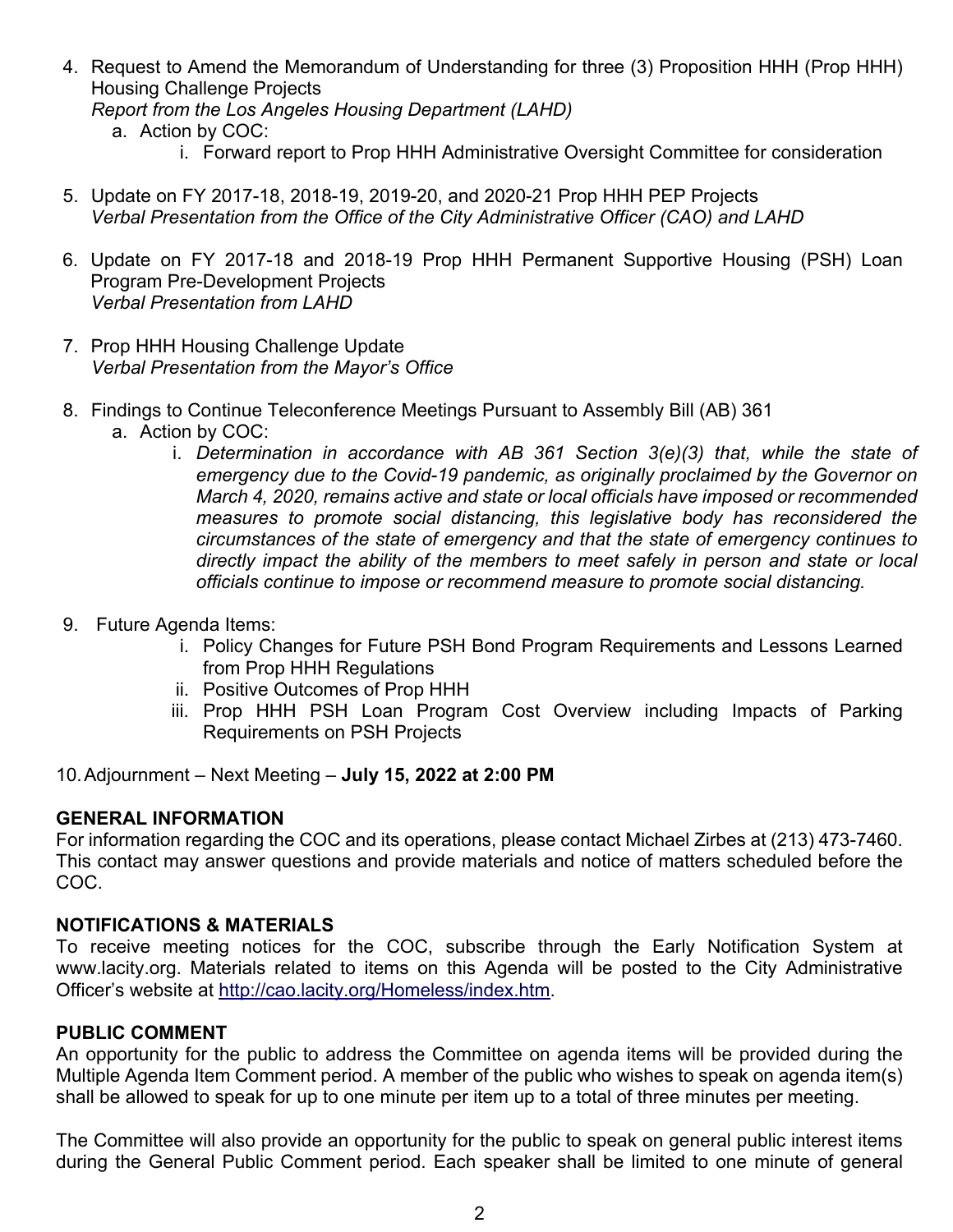- 4. Request to Amend the Memorandum of Understanding for three (3) Proposition HHH (Prop HHH) Housing Challenge Projects *Report from the Los Angeles Housing Department (LAHD)*  a. Action by COC:
	- i. Forward report to Prop HHH Administrative Oversight Committee for consideration
- 5. Update on FY 2017-18, 2018-19, 2019-20, and 2020-21 Prop HHH PEP Projects *Verbal Presentation from the Office of the City Administrative Officer (CAO) and LAHD*
- 6. Update on FY 2017-18 and 2018-19 Prop HHH Permanent Supportive Housing (PSH) Loan Program Pre-Development Projects *Verbal Presentation from LAHD*
- 7. Prop HHH Housing Challenge Update *Verbal Presentation from the Mayor's Office*
- 8. Findings to Continue Teleconference Meetings Pursuant to Assembly Bill (AB) 361
	- a. Action by COC:
		- i. *Determination in accordance with AB 361 Section 3(e)(3) that, while the state of emergency due to the Covid-19 pandemic, as originally proclaimed by the Governor on March 4, 2020, remains active and state or local officials have imposed or recommended measures to promote social distancing, this legislative body has reconsidered the circumstances of the state of emergency and that the state of emergency continues to directly impact the ability of the members to meet safely in person and state or local officials continue to impose or recommend measure to promote social distancing.*
- 9. Future Agenda Items:
	- i. Policy Changes for Future PSH Bond Program Requirements and Lessons Learned from Prop HHH Regulations
	- ii. Positive Outcomes of Prop HHH
	- iii. Prop HHH PSH Loan Program Cost Overview including Impacts of Parking Requirements on PSH Projects

10. Adjournment – Next Meeting – **July 15, 2022 at 2:00 PM**

# **GENERAL INFORMATION**

For information regarding the COC and its operations, please contact Michael Zirbes at (213) 473-7460. This contact may answer questions and provide materials and notice of matters scheduled before the COC.

#### **NOTIFICATIONS & MATERIALS**

To receive meeting notices for the COC, subscribe through the Early Notification System at www.lacity.org. Materials related to items on this Agenda will be posted to the City Administrative Officer's website at http://cao.lacity.org/Homeless/index.htm.

#### **PUBLIC COMMENT**

An opportunity for the public to address the Committee on agenda items will be provided during the Multiple Agenda Item Comment period. A member of the public who wishes to speak on agenda item(s) shall be allowed to speak for up to one minute per item up to a total of three minutes per meeting.

The Committee will also provide an opportunity for the public to speak on general public interest items during the General Public Comment period. Each speaker shall be limited to one minute of general